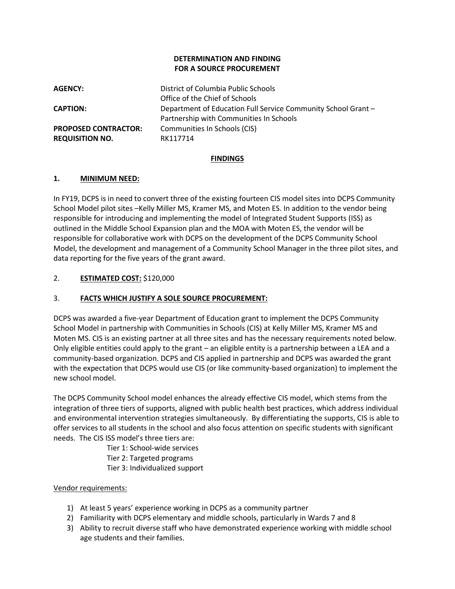### **DETERMINATION AND FINDING FOR A SOURCE PROCUREMENT**

**AGENCY:** District of Columbia Public Schools Office of the Chief of Schools **CAPTION:** Department of Education Full Service Community School Grant – Partnership with Communities In Schools **PROPOSED CONTRACTOR:** Communities In Schools (CIS) **REQUISITION NO.** RK117714

### **FINDINGS**

## **1. MINIMUM NEED:**

In FY19, DCPS is in need to convert three of the existing fourteen CIS model sites into DCPS Community School Model pilot sites -Kelly Miller MS, Kramer MS, and Moten ES. In addition to the vendor being responsible for introducing and implementing the model of Integrated Student Supports (ISS) as outlined in the Middle School Expansion plan and the MOA with Moten ES, the vendor will be responsible for collaborative work with DCPS on the development of the DCPS Community School Model, the development and management of a Community School Manager in the three pilot sites, and data reporting for the five years of the grant award.

## 2. **ESTIMATED COST:** \$120,000

## 3. **FACTS WHICH JUSTIFY A SOLE SOURCE PROCUREMENT:**

DCPS was awarded a five-year Department of Education grant to implement the DCPS Community School Model in partnership with Communities in Schools (CIS) at Kelly Miller MS, Kramer MS and Moten MS. CIS is an existing partner at all three sites and has the necessary requirements noted below. Only eligible entities could apply to the grant – an eligible entity is a partnership between a LEA and a community-based organization. DCPS and CIS applied in partnership and DCPS was awarded the grant with the expectation that DCPS would use CIS (or like community-based organization) to implement the new school model.

The DCPS Community School model enhances the already effective CIS model, which stems from the integration of three tiers of supports, aligned with public health best practices, which address individual and environmental intervention strategies simultaneously. By differentiating the supports, CIS is able to offer services to all students in the school and also focus attention on specific students with significant needs. The CIS ISS model's three tiers are:

Tier 1: School-wide services

Tier 2: Targeted programs

Tier 3: Individualized support

### Vendor requirements:

- 1) At least 5 years' experience working in DCPS as a community partner
- 2) Familiarity with DCPS elementary and middle schools, particularly in Wards 7 and 8
- 3) Ability to recruit diverse staff who have demonstrated experience working with middle school age students and their families.